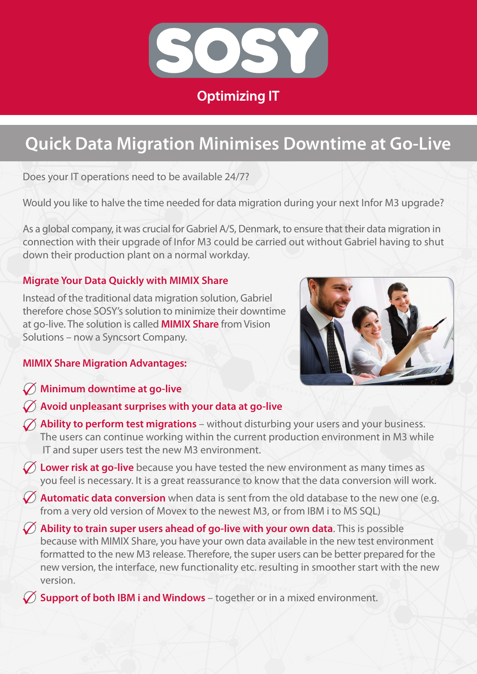

# **Quick Data Migration Minimises Downtime at Go-Live**

Does your IT operations need to be available 24/7?

Would you like to halve the time needed for data migration during your next Infor M3 upgrade?

As a global company, it was crucial for Gabriel A/S, Denmark, to ensure that their data migration in connection with their upgrade of Infor M3 could be carried out without Gabriel having to shut down their production plant on a normal workday.

# **Migrate Your Data Quickly with MIMIX Share**

Instead of the traditional data migration solution, Gabriel therefore chose SOSY's solution to minimize their downtime at go-live. The solution is called **MIMIX Share** from Vision Solutions – now a Syncsort Company.



## **MIMIX Share Migration Advantages:**

- **Minimum downtime at go-live**
- **Avoid unpleasant surprises with your data at go-live**
- **Ability to perform test migrations** without disturbing your users and your business. The users can continue working within the current production environment in M3 while IT and super users test the new M3 environment.
- **Lower risk at go-live** because you have tested the new environment as many times as you feel is necessary. It is a great reassurance to know that the data conversion will work.
- **Automatic data conversion** when data is sent from the old database to the new one (e.g. from a very old version of Movex to the newest M3, or from IBM i to MS SQL)
- **Ability to train super users ahead of go-live with your own data**. This is possible because with MIMIX Share, you have your own data available in the new test environment formatted to the new M3 release. Therefore, the super users can be better prepared for the new version, the interface, new functionality etc. resulting in smoother start with the new version.

**Support of both IBM i and Windows** – together or in a mixed environment.